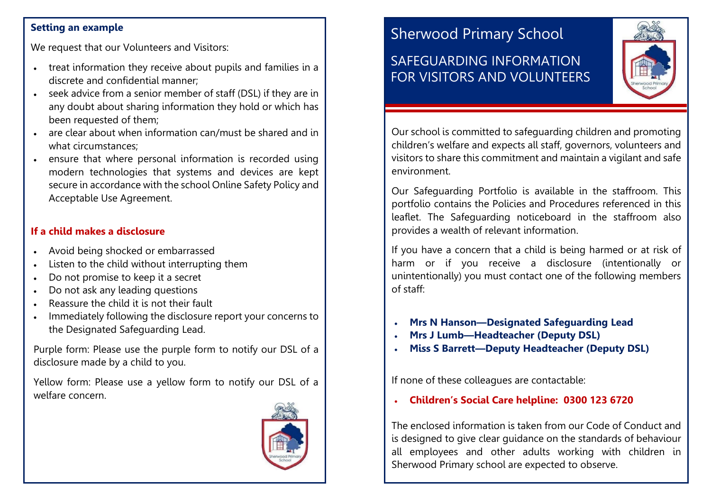#### **Setting an example**

We request that our Volunteers and Visitors:

- treat information they receive about pupils and families in a discrete and confidential manner;
- seek advice from a senior member of staff (DSL) if they are in any doubt about sharing information they hold or which has been requested of them;
- are clear about when information can/must be shared and in what circumstances;
- ensure that where personal information is recorded using modern technologies that systems and devices are kept secure in accordance with the school Online Safety Policy and Acceptable Use Agreement.

#### **If a child makes a disclosure**

- Avoid being shocked or embarrassed
- Listen to the child without interrupting them
- Do not promise to keep it a secret
- Do not ask any leading questions
- Reassure the child it is not their fault
- Immediately following the disclosure report your concerns to the Designated Safeguarding Lead.

Purple form: Please use the purple form to notify our DSL of a disclosure made by a child to you.

Yellow form: Please use a yellow form to notify our DSL of a welfare concern.



# Sherwood Primary School

## FOR VISITORS AND VOLUNTEERSSAFEGUARDING INFORMATION



Our school is committed to safeguarding children and promoting children's welfare and expects all staff, governors, volunteers and visitors to share this commitment and maintain a vigilant and safe environment.

Our Safeguarding Portfolio is available in the staffroom. This portfolio contains the Policies and Procedures referenced in this leaflet. The Safeguarding noticeboard in the staffroom also provides a wealth of relevant information.

If you have a concern that a child is being harmed or at risk of harm or if you receive a disclosure (intentionally or unintentionally) you must contact one of the following members of staff:

- **Mrs N Hanson—Designated Safeguarding Lead**
- **Mrs J Lumb—Headteacher (Deputy DSL)**
- **Miss S Barrett—Deputy Headteacher (Deputy DSL)**

If none of these colleagues are contactable:

• **Children's Social Care helpline: 0300 123 6720**

The enclosed information is taken from our Code of Conduct and is designed to give clear guidance on the standards of behaviour all employees and other adults working with children in Sherwood Primary school are expected to observe.